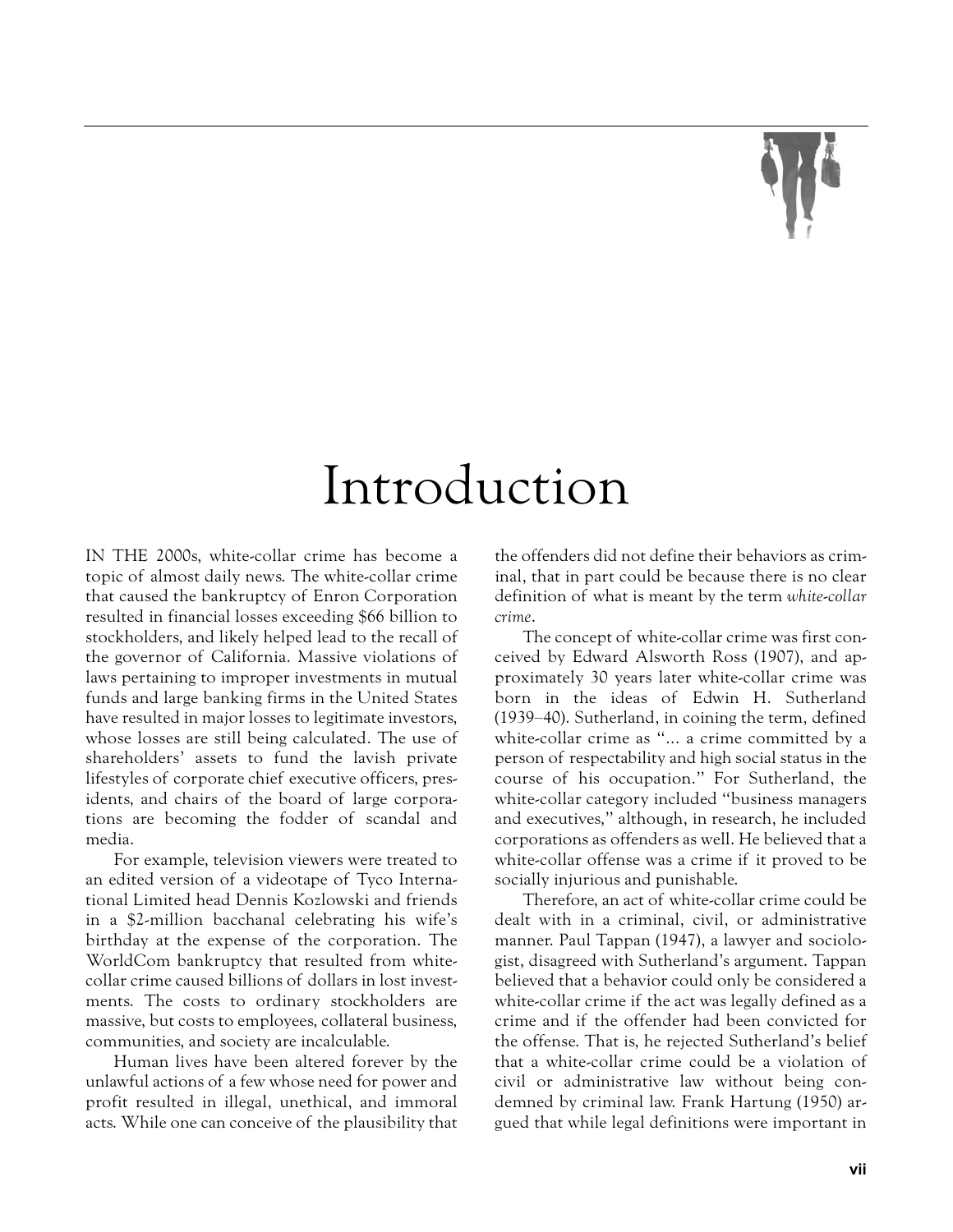

## Introduction

IN THE 2000s, white-collar crime has become a topic of almost daily news. The white-collar crime that caused the bankruptcy of Enron Corporation resulted in financial losses exceeding \$66 billion to stockholders, and likely helped lead to the recall of the governor of California. Massive violations of laws pertaining to improper investments in mutual funds and large banking firms in the United States have resulted in major losses to legitimate investors, whose losses are still being calculated. The use of shareholders' assets to fund the lavish private lifestyles of corporate chief executive officers, presidents, and chairs of the board of large corporations are becoming the fodder of scandal and media.

For example, television viewers were treated to an edited version of a videotape of Tyco International Limited head Dennis Kozlowski and friends in a \$2-million bacchanal celebrating his wife's birthday at the expense of the corporation. The WorldCom bankruptcy that resulted from whitecollar crime caused billions of dollars in lost investments. The costs to ordinary stockholders are massive, but costs to employees, collateral business, communities, and society are incalculable.

Human lives have been altered forever by the unlawful actions of a few whose need for power and profit resulted in illegal, unethical, and immoral acts. While one can conceive of the plausibility that the offenders did not define their behaviors as criminal, that in part could be because there is no clear definition of what is meant by the term *white-collar crime*.

The concept of white-collar crime was first conceived by Edward Alsworth Ross (1907), and approximately 30 years later white-collar crime was born in the ideas of Edwin H. Sutherland (1939–40). Sutherland, in coining the term, defined white-collar crime as "... a crime committed by a person of respectability and high social status in the course of his occupation." For Sutherland, the white-collar category included "business managers and executives," although, in research, he included corporations as offenders as well. He believed that a white-collar offense was a crime if it proved to be socially injurious and punishable.

Therefore, an act of white-collar crime could be dealt with in a criminal, civil, or administrative manner. Paul Tappan (1947), a lawyer and sociologist, disagreed with Sutherland's argument. Tappan believed that a behavior could only be considered a white-collar crime if the act was legally defined as a crime and if the offender had been convicted for the offense. That is, he rejected Sutherland's belief that a white-collar crime could be a violation of civil or administrative law without being condemned by criminal law. Frank Hartung (1950) argued that while legal definitions were important in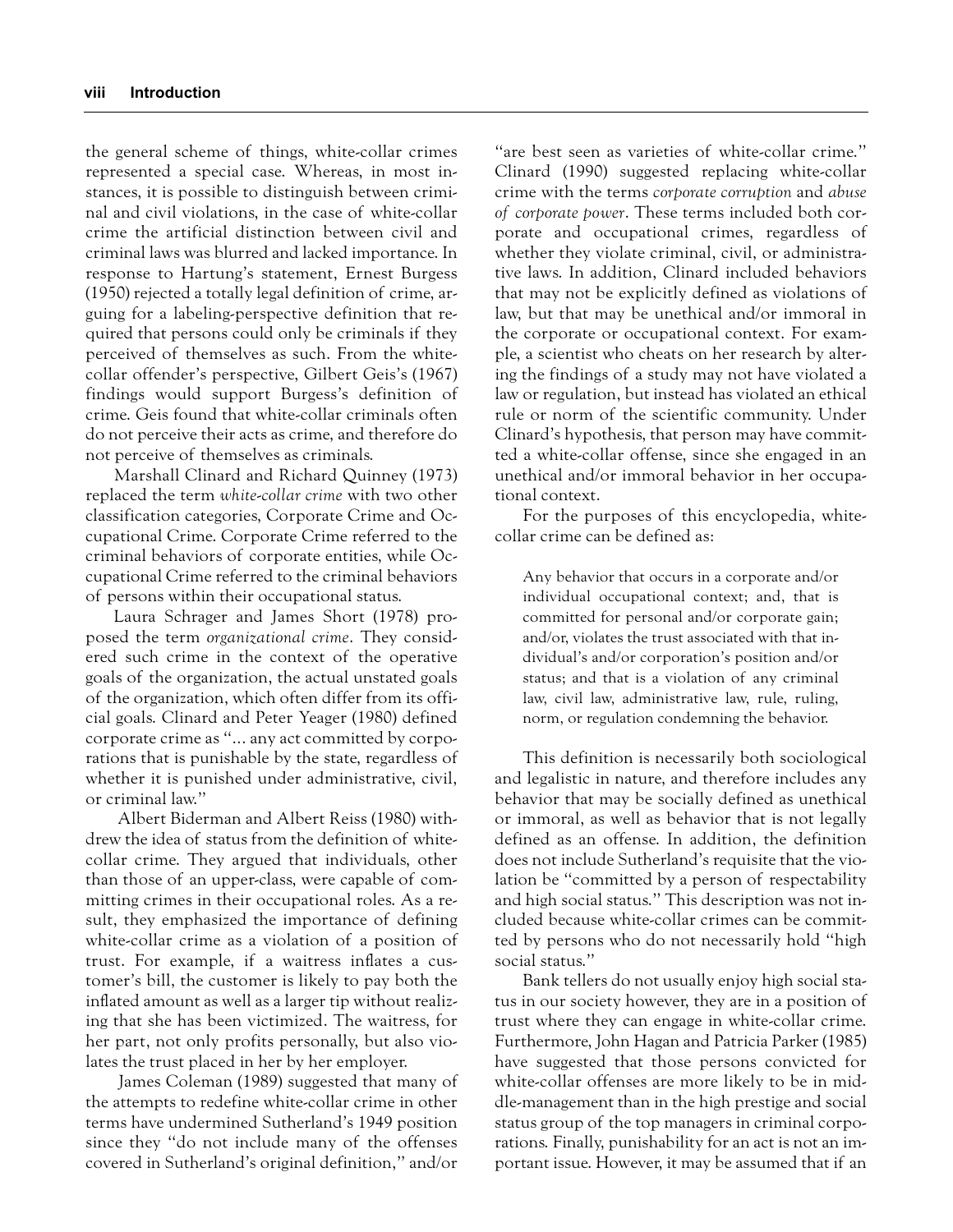the general scheme of things, white-collar crimes represented a special case. Whereas, in most instances, it is possible to distinguish between criminal and civil violations, in the case of white-collar crime the artificial distinction between civil and criminal laws was blurred and lacked importance. In response to Hartung's statement, Ernest Burgess (1950) rejected a totally legal definition of crime, arguing for a labeling-perspective definition that required that persons could only be criminals if they perceived of themselves as such. From the whitecollar offender's perspective, Gilbert Geis's (1967) findings would support Burgess's definition of crime. Geis found that white-collar criminals often do not perceive their acts as crime, and therefore do not perceive of themselves as criminals.

Marshall Clinard and Richard Quinney (1973) replaced the term *white-collar crime* with two other classification categories, Corporate Crime and Occupational Crime. Corporate Crime referred to the criminal behaviors of corporate entities, while Occupational Crime referred to the criminal behaviors of persons within their occupational status.

Laura Schrager and James Short (1978) proposed the term *organizational crime*. They considered such crime in the context of the operative goals of the organization, the actual unstated goals of the organization, which often differ from its official goals. Clinard and Peter Yeager (1980) defined corporate crime as "... any act committed by corporations that is punishable by the state, regardless of whether it is punished under administrative, civil, or criminal law."

Albert Biderman and Albert Reiss (1980) withdrew the idea of status from the definition of whitecollar crime. They argued that individuals, other than those of an upper-class, were capable of committing crimes in their occupational roles. As a result, they emphasized the importance of defining white-collar crime as a violation of a position of trust. For example, if a waitress inflates a customer's bill, the customer is likely to pay both the inflated amount as well as a larger tip without realizing that she has been victimized. The waitress, for her part, not only profits personally, but also violates the trust placed in her by her employer.

James Coleman (1989) suggested that many of the attempts to redefine white-collar crime in other terms have undermined Sutherland's 1949 position since they "do not include many of the offenses covered in Sutherland's original definition," and/or

"are best seen as varieties of white-collar crime." Clinard (1990) suggested replacing white-collar crime with the terms *corporate corruption* and *abuse of corporate power*. These terms included both corporate and occupational crimes, regardless of whether they violate criminal, civil, or administrative laws. In addition, Clinard included behaviors that may not be explicitly defined as violations of law, but that may be unethical and/or immoral in the corporate or occupational context. For example, a scientist who cheats on her research by altering the findings of a study may not have violated a law or regulation, but instead has violated an ethical rule or norm of the scientific community. Under Clinard's hypothesis, that person may have committed a white-collar offense, since she engaged in an unethical and/or immoral behavior in her occupational context.

For the purposes of this encyclopedia, whitecollar crime can be defined as:

Any behavior that occurs in a corporate and/or individual occupational context; and, that is committed for personal and/or corporate gain; and/or, violates the trust associated with that individual's and/or corporation's position and/or status; and that is a violation of any criminal law, civil law, administrative law, rule, ruling, norm, or regulation condemning the behavior.

This definition is necessarily both sociological and legalistic in nature, and therefore includes any behavior that may be socially defined as unethical or immoral, as well as behavior that is not legally defined as an offense. In addition, the definition does not include Sutherland's requisite that the violation be "committed by a person of respectability and high social status." This description was not included because white-collar crimes can be committed by persons who do not necessarily hold "high social status."

Bank tellers do not usually enjoy high social status in our society however, they are in a position of trust where they can engage in white-collar crime. Furthermore, John Hagan and Patricia Parker (1985) have suggested that those persons convicted for white-collar offenses are more likely to be in middle-management than in the high prestige and social status group of the top managers in criminal corporations. Finally, punishability for an act is not an important issue. However, it may be assumed that if an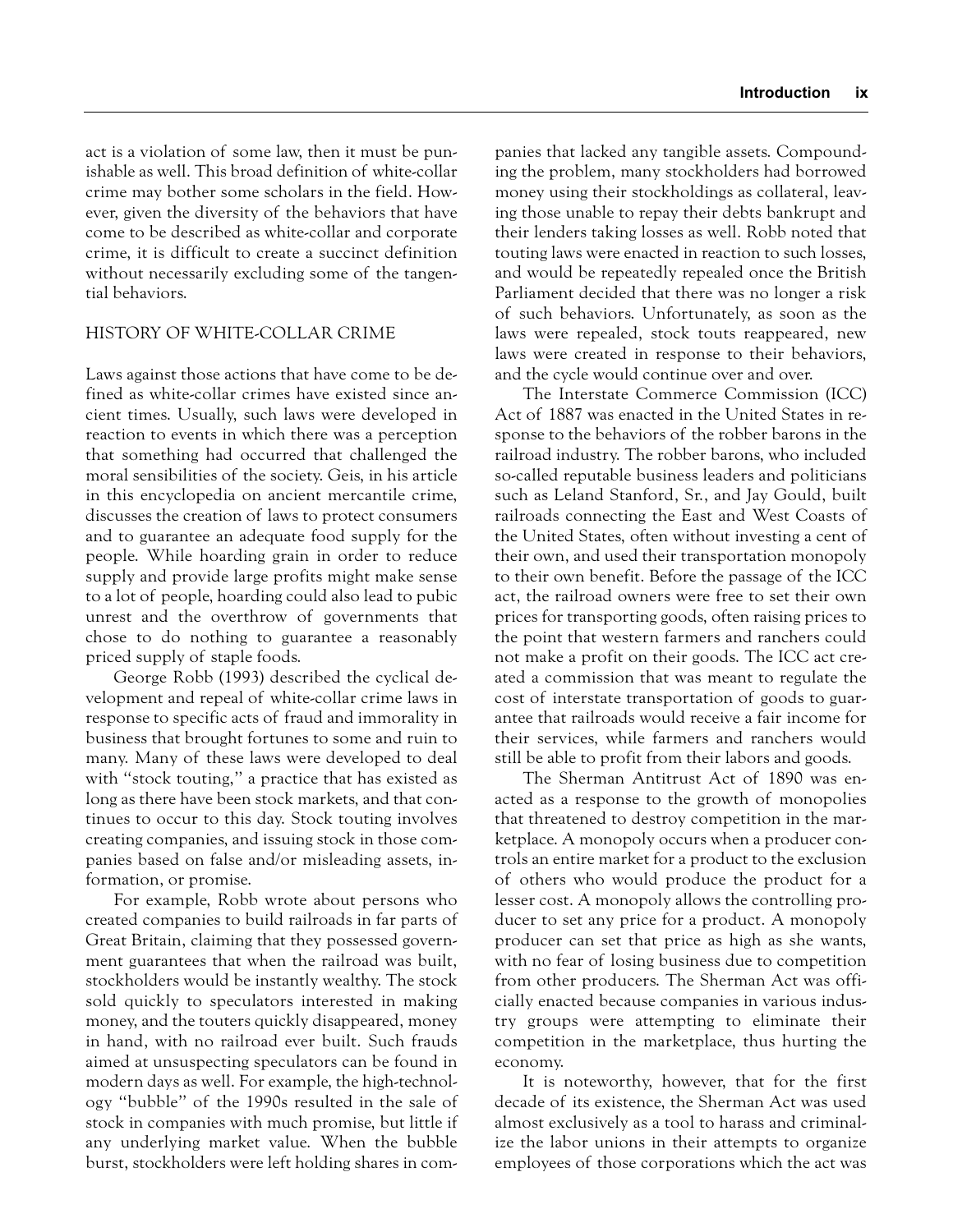act is a violation of some law, then it must be punishable as well. This broad definition of white-collar crime may bother some scholars in the field. However, given the diversity of the behaviors that have come to be described as white-collar and corporate crime, it is difficult to create a succinct definition without necessarily excluding some of the tangential behaviors.

## HISTORY OF WHITE-COLLAR CRIME

Laws against those actions that have come to be defined as white-collar crimes have existed since ancient times. Usually, such laws were developed in reaction to events in which there was a perception that something had occurred that challenged the moral sensibilities of the society. Geis, in his article in this encyclopedia on ancient mercantile crime, discusses the creation of laws to protect consumers and to guarantee an adequate food supply for the people. While hoarding grain in order to reduce supply and provide large profits might make sense to a lot of people, hoarding could also lead to pubic unrest and the overthrow of governments that chose to do nothing to guarantee a reasonably priced supply of staple foods.

George Robb (1993) described the cyclical development and repeal of white-collar crime laws in response to specific acts of fraud and immorality in business that brought fortunes to some and ruin to many. Many of these laws were developed to deal with "stock touting," a practice that has existed as long as there have been stock markets, and that continues to occur to this day. Stock touting involves creating companies, and issuing stock in those companies based on false and/or misleading assets, information, or promise.

For example, Robb wrote about persons who created companies to build railroads in far parts of Great Britain, claiming that they possessed government guarantees that when the railroad was built, stockholders would be instantly wealthy. The stock sold quickly to speculators interested in making money, and the touters quickly disappeared, money in hand, with no railroad ever built. Such frauds aimed at unsuspecting speculators can be found in modern days as well. For example, the high-technology "bubble" of the 1990s resulted in the sale of stock in companies with much promise, but little if any underlying market value. When the bubble burst, stockholders were left holding shares in com-

panies that lacked any tangible assets. Compounding the problem, many stockholders had borrowed money using their stockholdings as collateral, leaving those unable to repay their debts bankrupt and their lenders taking losses as well. Robb noted that touting laws were enacted in reaction to such losses, and would be repeatedly repealed once the British Parliament decided that there was no longer a risk of such behaviors. Unfortunately, as soon as the laws were repealed, stock touts reappeared, new laws were created in response to their behaviors, and the cycle would continue over and over.

The Interstate Commerce Commission (ICC) Act of 1887 was enacted in the United States in response to the behaviors of the robber barons in the railroad industry. The robber barons, who included so-called reputable business leaders and politicians such as Leland Stanford, Sr., and Jay Gould, built railroads connecting the East and West Coasts of the United States, often without investing a cent of their own, and used their transportation monopoly to their own benefit. Before the passage of the ICC act, the railroad owners were free to set their own prices for transporting goods, often raising prices to the point that western farmers and ranchers could not make a profit on their goods. The ICC act created a commission that was meant to regulate the cost of interstate transportation of goods to guarantee that railroads would receive a fair income for their services, while farmers and ranchers would still be able to profit from their labors and goods.

The Sherman Antitrust Act of 1890 was enacted as a response to the growth of monopolies that threatened to destroy competition in the marketplace. A monopoly occurs when a producer controls an entire market for a product to the exclusion of others who would produce the product for a lesser cost. A monopoly allows the controlling producer to set any price for a product. A monopoly producer can set that price as high as she wants, with no fear of losing business due to competition from other producers. The Sherman Act was officially enacted because companies in various industry groups were attempting to eliminate their competition in the marketplace, thus hurting the economy.

It is noteworthy, however, that for the first decade of its existence, the Sherman Act was used almost exclusively as a tool to harass and criminalize the labor unions in their attempts to organize employees of those corporations which the act was